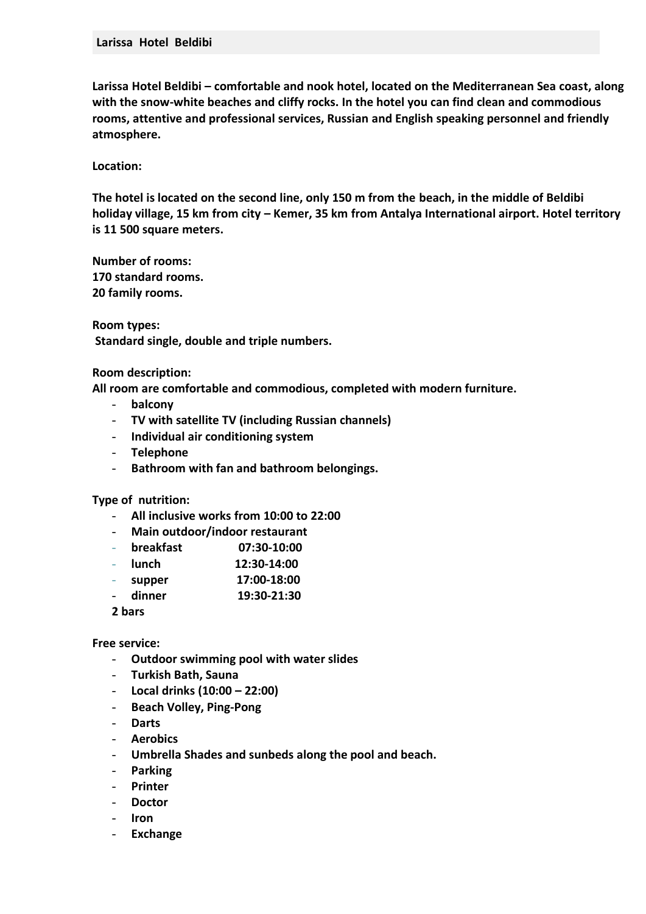**Larissa Hotel Beldibi – comfortable and nook hotel, located on the Mediterranean Sea coast, along with the snow-white beaches and cliffy rocks. In the hotel you can find clean and commodious rooms, attentive and professional services, Russian and English speaking personnel and friendly atmosphere.** 

**Location:** 

**The hotel is located on the second line, only 150 m from the beach, in the middle of Beldibi holiday village, 15 km from city – Kemer, 35 km from Antalya International airport. Hotel territory is 11 500 square meters.** 

**Number of rooms: 170 standard rooms. 20 family rooms.** 

**Room types: Standard single, double and triple numbers.** 

**Room description:** 

**All room are comfortable and commodious, completed with modern furniture.**

- **balcony**
- **TV with satellite TV (including Russian channels)**
- **Individual air conditioning system**
- **Telephone**
- **Bathroom with fan and bathroom belongings.**

**Type of nutrition:** 

- **All inclusive works from 10:00 to 22:00**
- **Main outdoor/indoor restaurant**
- **breakfast 07:30-10:00**
- **lunch 12:30-14:00**
- **supper 17:00-18:00**
- **dinner 19:30-21:30**
- **2 bars**

**Free service:** 

- **Outdoor swimming pool with water slides**
- **Turkish Bath, Sauna**
- **Local drinks (10:00 – 22:00)**
- **Beach Volley, Ping-Pong**
- **Darts**
- **Aerobics**
- **Umbrella Shades and sunbeds along the pool and beach.**
- **Parking**
- **Printer**
- **Doctor**
- **Iron**
- **Exchange**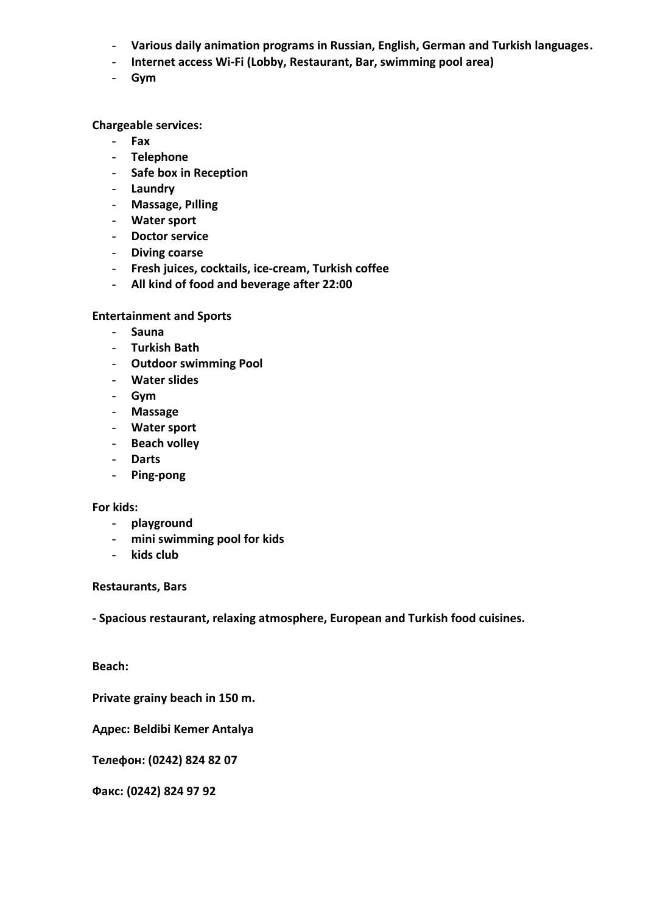- **Various daily animation programs in Russian, English, German and Turkish languages.**
- **Internet access Wi-Fi (Lobby, Restaurant, Bar, swimming pool area)**
- **Gym**

## **Chargeable services:**

- **Fax**
- **Telephone**
- **Safe box in Reception**
- **Laundry**
- **Massage, Pılling**
- **Water sport**
- **Doctor service**
- **Diving coarse**
- **Fresh juices, cocktails, ice-cream, Turkish coffee**
- **All kind of food and beverage after 22:00**

## **Entertainment and Sports**

- **Sauna**
- **Turkish Bath**
- **Outdoor swimming Pool**
- **Water slides**
- **Gym**
- **Massage**
- **Water sport**
- **Beach volley**
- **Darts**
- **Ping-pong**

## **For kids:**

- **playground**
- **mini swimming pool for kids**
- **kids club**

## **Restaurants, Bars**

**- Spacious restaurant, relaxing atmosphere, European and Turkish food cuisines.** 

**Beach:** 

**Private grainy beach in 150 m.** 

**Адрес: Beldibi Kemer Antalya**

**Телефон: (0242) 824 82 07**

**Факс: (0242) 824 97 92**